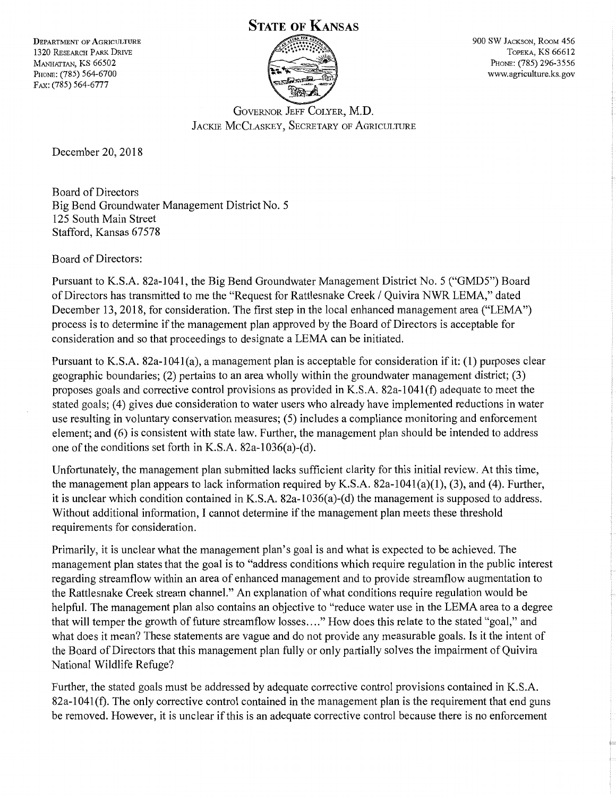## **STATE OF KANSAS**

DEPARTMENT OF AGRICULTURE 1320 RESEARCH PARK DRIVE MANHATTAN, KS 66502 PHONE: (785) 564-6700 FAX: (785) 564-6777



900 SW JACKSON, RooM 456 TOPEKA, KS 66612 PHONE: (785) 296-3556 www.agriculture.ks.gov

GOVERNOR JEFF COLYER, M.D. JACKIE MCCLASKEY, SECRETARY OF AGRICULTURE

December 20, 2018

Board of Directors Big Bend Groundwater Management District No. 5 125 South Main Street Stafford, Kansas 67578

Board of Directors:

Pursuant to K.S.A. 82a-1041, the Big Bend Groundwater Management District No. 5 ("GMD5") Board of Directors has transmitted to me the "Request for Rattlesnake Creek / Quivira NWR LEMA," dated December 13, 2018, for consideration. The first step in the local enhanced management area ("LEMA") process is to determine if the management plan approved by the Board of Directors is acceptable for consideration and so that proceedings to designate a LEMA can be initiated.

Pursuant to K.S.A. 82a-1041(a), a management plan is acceptable for consideration if it: (1) purposes clear geographic boundaries; (2) pertains to an area wholly within the groundwater management district; (3) proposes goals and corrective control provisions as provided in K.S.A. 82a-1041 (f) adequate to meet the stated goals; (4) gives due consideration to water users who already have implemented reductions in water use resulting in voluntary conservation measures; (5) includes a compliance monitoring and enforcement element; and (6) is consistent with state law. Further, the management plan should be intended to address one of the conditions set forth in K.S.A. 82a-1036(a)-(d).

Unfortunately, the management plan submitted lacks sufficient clarity for this initial review. At this time, the management plan appears to lack information required by K.S.A. 82a-104l(a)(l), (3), and (4). Further, it is unclear which condition contained in K.S.A. 82a-1036(a)-(d) the management is supposed to address. Without additional information, I cannot determine if the management plan meets these threshold requirements for consideration.

Primarily, it is unclear what the management plan's goal is and what is expected to be achieved. The management plan states that the goal is to "address conditions which require regulation in the public interest regarding streamflow within an area of enhanced management and to provide streamflow augmentation to the Rattlesnake Creek stream channel." An explanation of what conditions require regulation would be helpful. The management plan also contains an objective to "reduce water use in the LEMA area to a degree that will temper the growth of future streamflow losses .... " How does this relate to the stated "goal," and what does it mean? These statements are vague and do not provide any measurable goals. Is it the intent of the Board of Directors that this management plan fully or only partially solves the impairment of Quivira National Wildlife Refuge?

Further, the stated goals must be addressed by adequate corrective control provisions contained in K.S.A. 82a-1041(f). The only corrective control contained in the management plan is the requirement that end guns be removed. However, it is unclear if this is an adequate corrective control because there is no enforcement